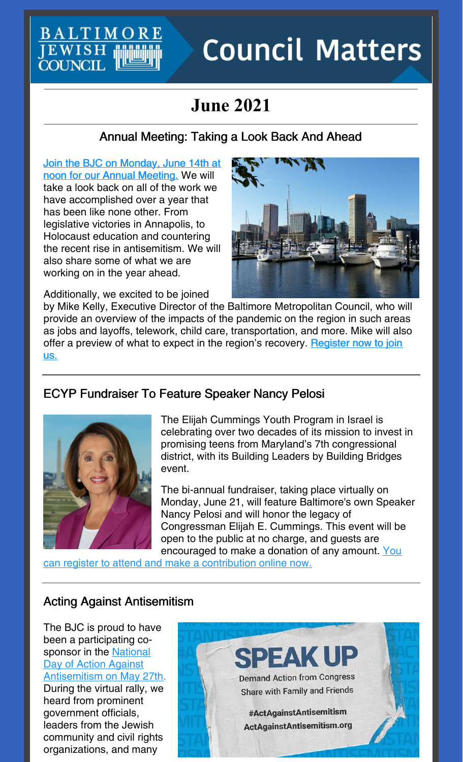**BALTIMOR JEWISH**<br>COUNCIL

# **Council Matters**

# **June 2021**

# Annual Meeting: Taking a Look Back And Ahead

Join the BJC on [Monday,](https://jcfb.zoom.us/meeting/register/tJUtcO6przkjGtK89BzHQR2CPP4qC71V59an) June 14th at noon for our Annual Meeting. We will take a look back on all of the work we have accomplished over a year that has been like none other. From legislative victories in Annapolis, to Holocaust education and countering the recent rise in antisemitism. We will also share some of what we are working on in the year ahead.



Additionally, we excited to be joined

by Mike Kelly, Executive Director of the Baltimore Metropolitan Council, who will provide an overview of the impacts of the pandemic on the region in such areas as jobs and layoffs, telework, child care, transportation, and more. Mike will also offer a preview of what to expect in the region's [recovery.](https://jcfb.zoom.us/meeting/register/tJUtcO6przkjGtK89BzHQR2CPP4qC71V59an) Register now to join us.

# ECYP Fundraiser To Feature Speaker Nancy Pelosi



The Elijah Cummings Youth Program in Israel is celebrating over two decades of its mission to invest in promising teens from Maryland's 7th congressional district, with its Building Leaders by Building Bridges event.

The bi-annual fundraiser, taking place virtually on Monday, June 21, will feature Baltimore's own Speaker Nancy Pelosi and will honor the legacy of Congressman Elijah E. Cummings. This event will be open to the public at no charge, and guests are [encouraged](https://events.idonate.com/buildingbridges) to make a donation of any amount. You

can register to attend and make a contribution online now.

# Acting Against Antisemitism

The BJC is proud to have been a participating cosponsor in the National Day of Action Against [Antisemitism](https://www.youtube.com/watch?v=XDC-C4QWO20) on May 27th. During the virtual rally, we heard from prominent government officials, leaders from the Jewish community and civil rights organizations, and many

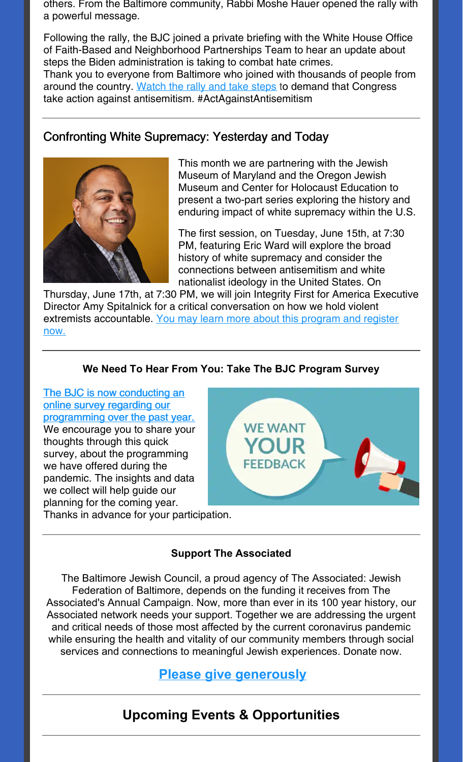others. From the Baltimore community, Rabbi Moshe Hauer opened the rally with a powerful message.

Following the rally, the BJC joined a private briefing with the White House Office of Faith-Based and Neighborhood Partnerships Team to hear an update about steps the Biden administration is taking to combat hate crimes. Thank you to everyone from Baltimore who joined with thousands of people from around the country. [Watch](https://www.actagainstantisemitism.org/) the rally and take steps to demand that Congress take action against antisemitism. #ActAgainstAntisemitism

# Confronting White Supremacy: Yesterday and Today



This month we are partnering with the Jewish Museum of Maryland and the Oregon Jewish Museum and Center for Holocaust Education to present a two-part series exploring the history and enduring impact of white supremacy within the U.S.

The first session, on Tuesday, June 15th, at 7:30 PM, featuring Eric Ward will explore the broad history of white supremacy and consider the connections between antisemitism and white nationalist ideology in the United States. On

Thursday, June 17th, at 7:30 PM, we will join Integrity First for America Executive Director Amy Spitalnick for a critical conversation on how we hold violent extremists [accountable.](https://jewishmuseummd.org/confronting-white-supremacy-yesterday-and-today/) You may learn more about this program and register now.

#### **We Need To Hear From You: Take The BJC Program Survey**

#### The BJC is now conducting an online survey regarding our [programming](https://survey.alchemer.com/s3/6276675/2021-BJC-Events-and-Programs) over the past year. We encourage you to share your thoughts through this quick

survey, about the programming we have offered during the pandemic. The insights and data we collect will help guide our planning for the coming year.

Thanks in advance for your participation.



#### **Support The Associated**

The Baltimore Jewish Council, a proud agency of The Associated: Jewish Federation of Baltimore, depends on the funding it receives from The Associated's Annual Campaign. Now, more than ever in its 100 year history, our Associated network needs your support. Together we are addressing the urgent and critical needs of those most affected by the current coronavirus pandemic while ensuring the health and vitality of our community members through social services and connections to meaningful Jewish experiences. Donate now.

# **Please give [generously](https://payments.associated.org/giving-tuesday)**

# **Upcoming Events & Opportunities**